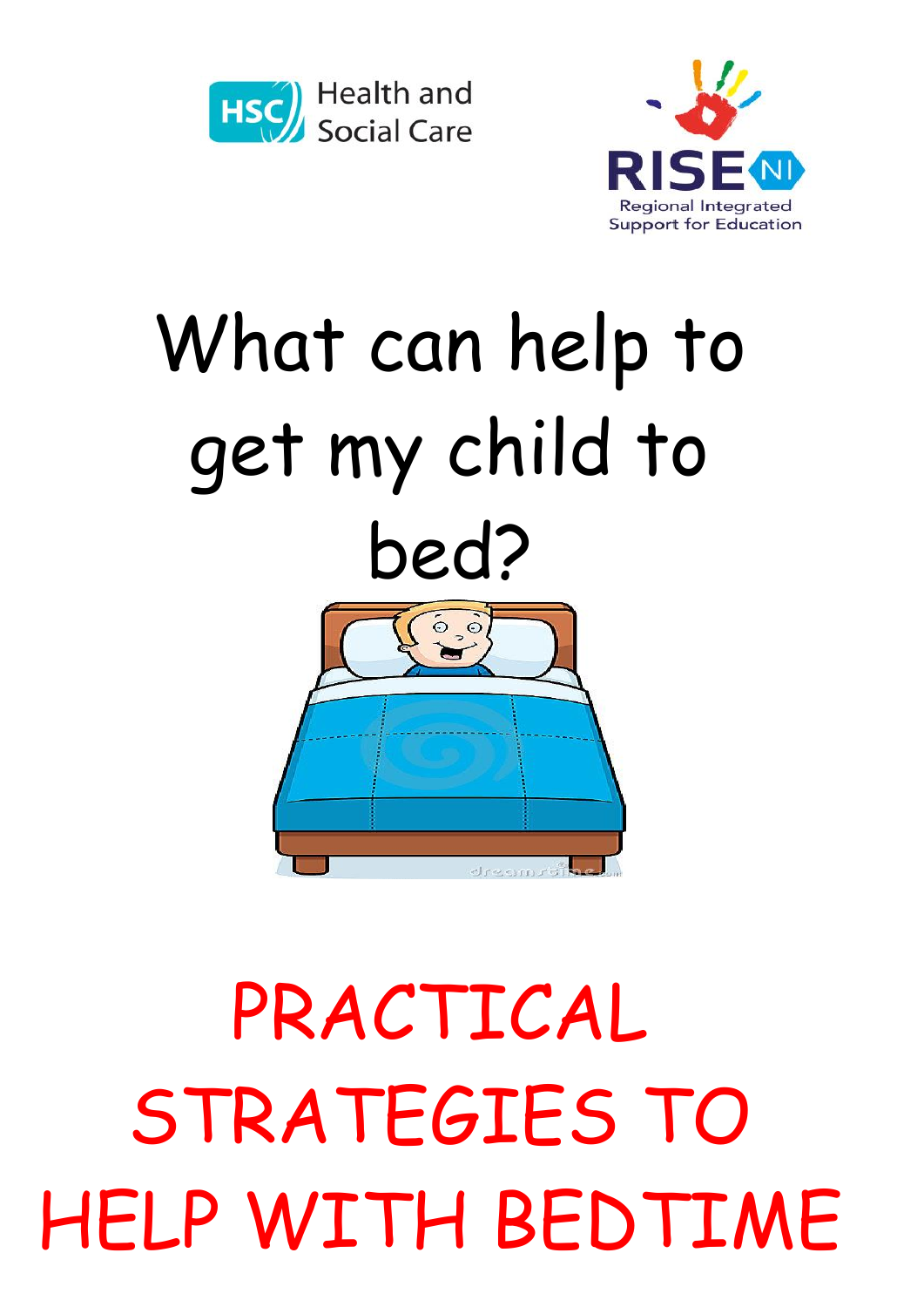



## What can help to get my child to bed?  $\ddot{\circ}$   $\ddot{\circ}$



## PRACTICAL STRATEGIES TO HELP WITH BEDTIME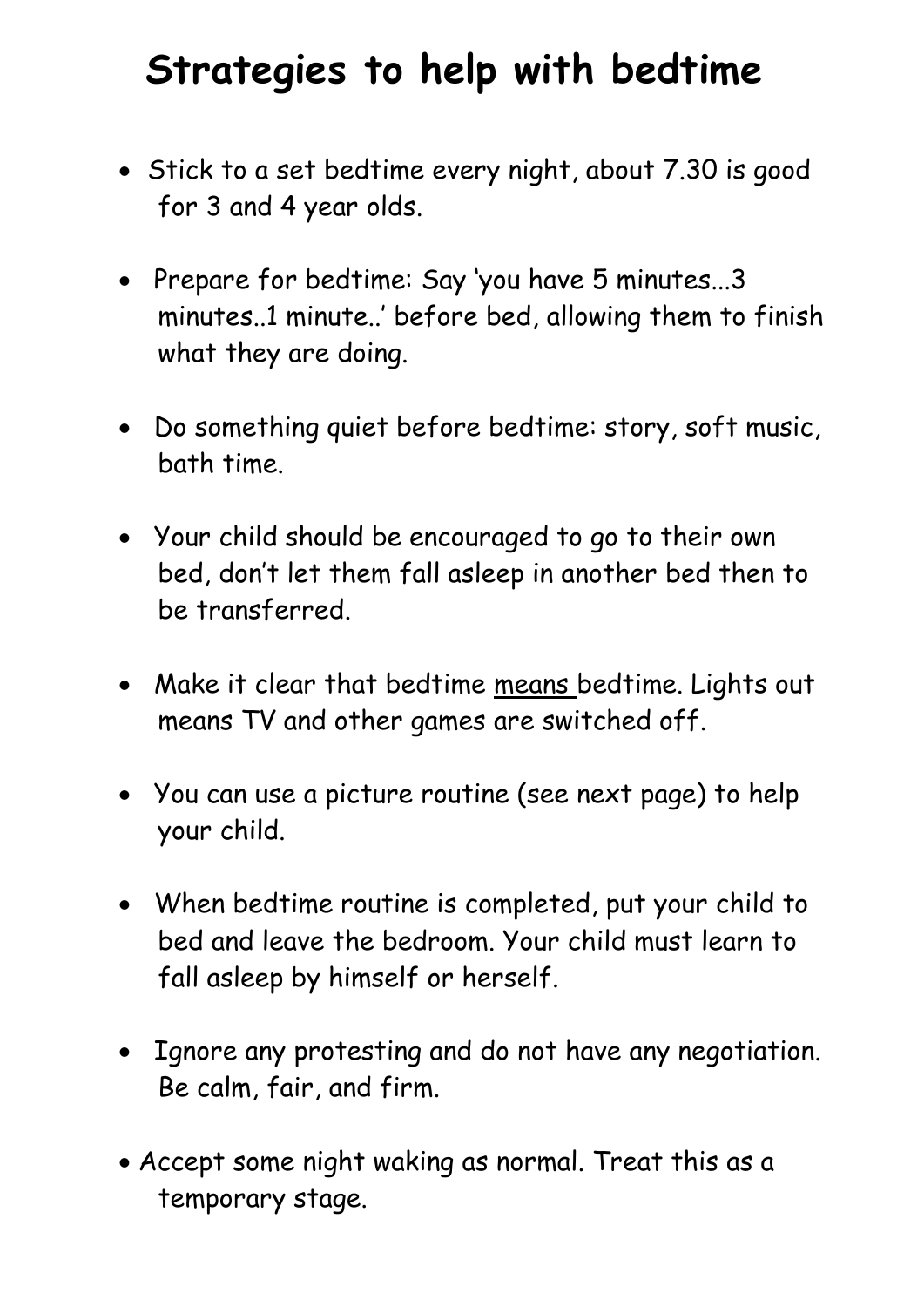## **Strategies to help with bedtime**

- Stick to a set bedtime every night, about 7.30 is good for 3 and 4 year olds.
- Prepare for bedtime: Say 'you have 5 minutes...3 minutes..1 minute..' before bed, allowing them to finish what they are doing.
- Do something quiet before bedtime: story, soft music, bath time.
- Your child should be encouraged to go to their own bed, don't let them fall asleep in another bed then to be transferred.
- Make it clear that bedtime means bedtime. Lights out means TV and other games are switched off.
- You can use a picture routine (see next page) to help your child.
- When bedtime routine is completed, put your child to bed and leave the bedroom. Your child must learn to fall asleep by himself or herself.
- Ignore any protesting and do not have any negotiation. Be calm, fair, and firm.
- Accept some night waking as normal. Treat this as a temporary stage.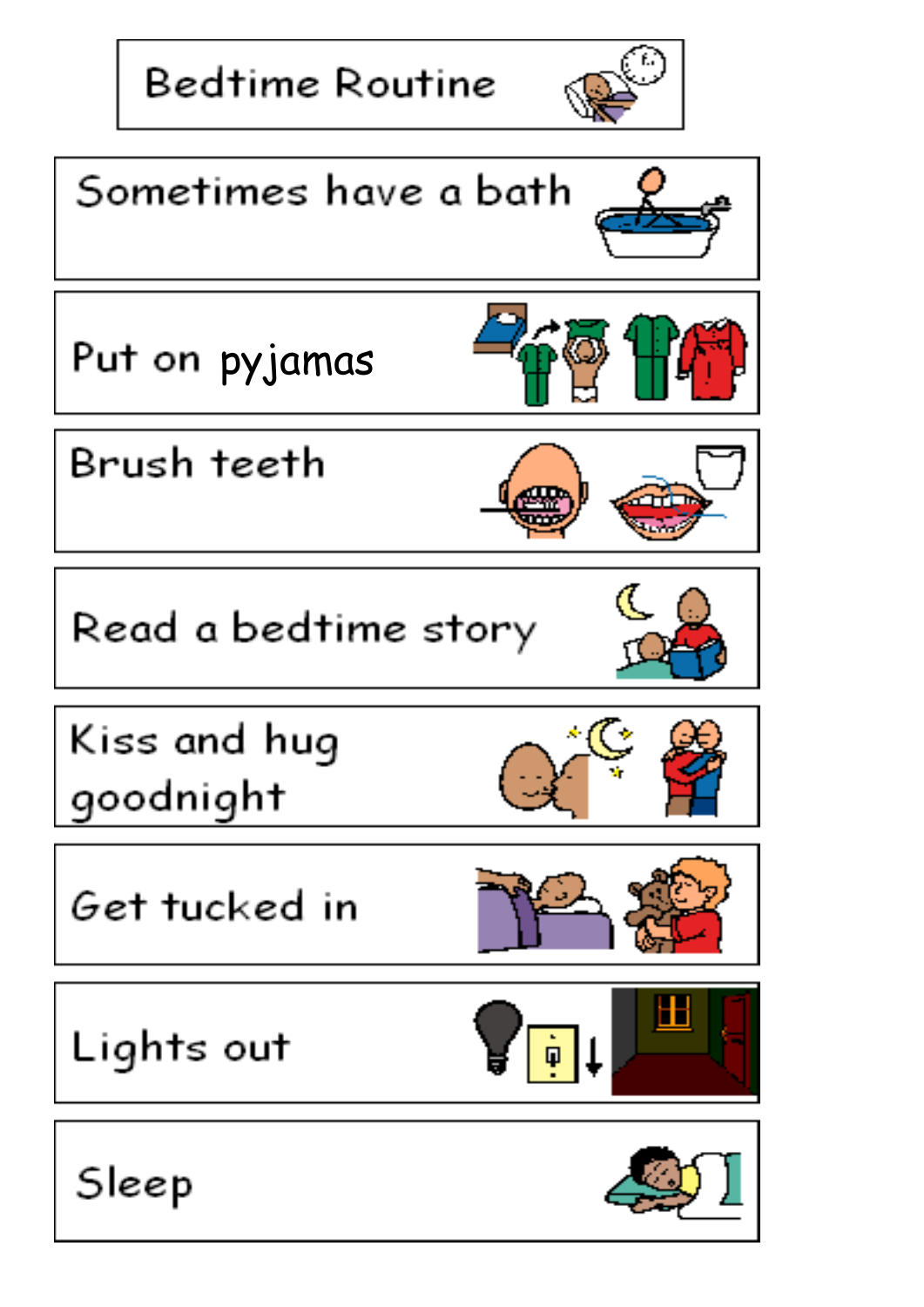**Bedtime Routine** 





Put on pyjamas

Brush teeth

Read a bedtime story

Kiss and hug goodnight

Get tucked in

Lights out





Sleep